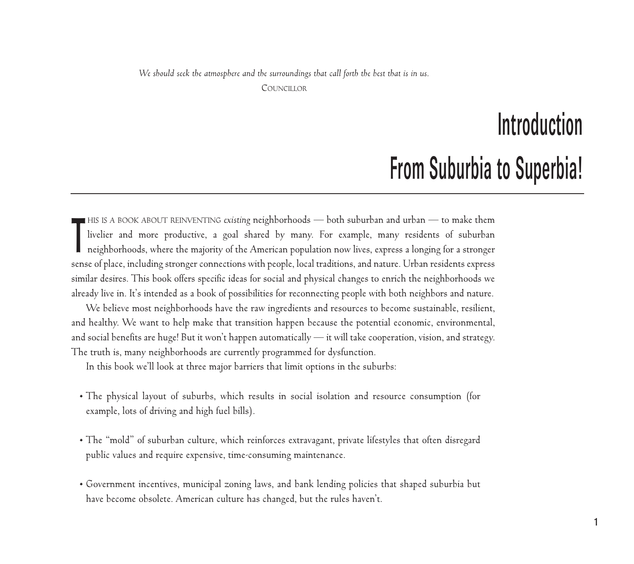*We should seek the atmosphere and the surroundings that call forth the best that is in us.*

**COUNCILLOR** 

## Introduction From Suburbia to Superbia!

T HIS IS A BOOK ABOUT REINVENTING *existing* neighborhoods — both suburban and urban — to make them livelier and more productive, a goal shared by many. For example, many residents of suburban neighborhoods, where the majority of the American population now lives, express a longing for a stronger sense of place, including stronger connections with people, local traditions, and nature. Urban residents express similar desires. This book offers specific ideas for social and physical changes to enrich the neighborhoods we already live in. It's intended as a book of possibilities for reconnecting people with both neighbors and nature.

We believe most neighborhoods have the raw ingredients and resources to become sustainable, resilient, and healthy. We want to help make that transition happen because the potential economic, environmental, and social benefits are huge! But it won't happen automatically — it will take cooperation, vision, and strategy. The truth is, many neighborhoods are currently programmed for dysfunction.

In this book we'll look at three major barriers that limit options in the suburbs:

- The physical layout of suburbs, which results in social isolation and resource consumption (for example, lots of driving and high fuel bills).
- The "mold" of suburban culture, which reinforces extravagant, private lifestyles that often disregard public values and require expensive, time-consuming maintenance.
- Government incentives, municipal zoning laws, and bank lending policies that shaped suburbia but have become obsolete. American culture has changed, but the rules haven't.